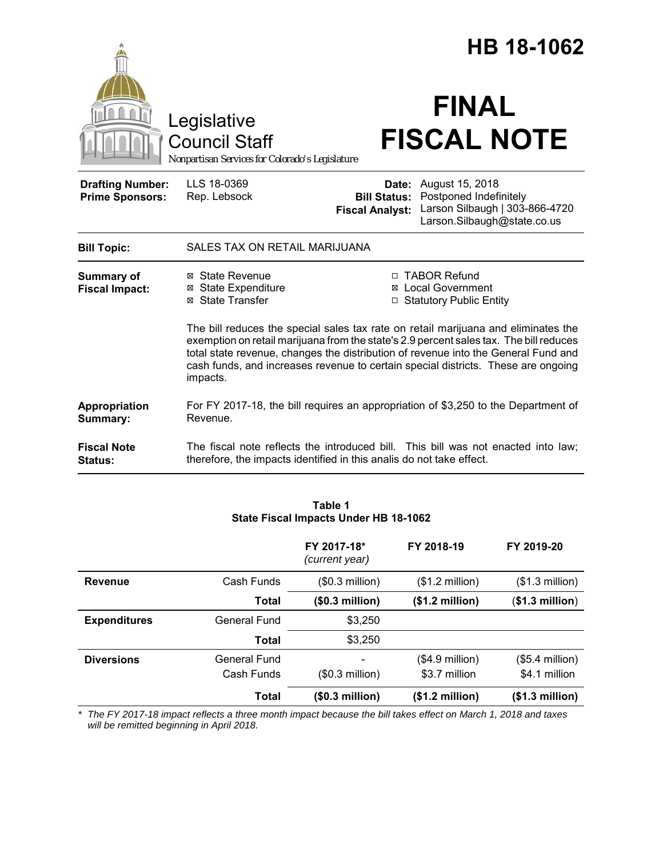|                                                   |                                                                                                                                                                                                                                                                               |                                               | HB 18-1062                                                                                                                                                     |
|---------------------------------------------------|-------------------------------------------------------------------------------------------------------------------------------------------------------------------------------------------------------------------------------------------------------------------------------|-----------------------------------------------|----------------------------------------------------------------------------------------------------------------------------------------------------------------|
|                                                   | Legislative<br><b>Council Staff</b><br>Nonpartisan Services for Colorado's Legislature                                                                                                                                                                                        |                                               | <b>FINAL</b><br><b>FISCAL NOTE</b>                                                                                                                             |
| <b>Drafting Number:</b><br><b>Prime Sponsors:</b> | LLS 18-0369<br>Rep. Lebsock                                                                                                                                                                                                                                                   | <b>Bill Status:</b><br><b>Fiscal Analyst:</b> | <b>Date:</b> August 15, 2018<br>Postponed Indefinitely<br>Larson Silbaugh   303-866-4720<br>Larson.Silbaugh@state.co.us                                        |
| <b>Bill Topic:</b>                                | SALES TAX ON RETAIL MARIJUANA                                                                                                                                                                                                                                                 |                                               |                                                                                                                                                                |
| <b>Summary of</b><br><b>Fiscal Impact:</b>        | ⊠ State Revenue<br>⊠ State Expenditure<br>⊠ State Transfer                                                                                                                                                                                                                    |                                               | □ TABOR Refund<br><b>⊠</b> Local Government<br>□ Statutory Public Entity<br>The bill reduces the special sales tax rate on retail marijuana and eliminates the |
|                                                   | exemption on retail marijuana from the state's 2.9 percent sales tax. The bill reduces<br>total state revenue, changes the distribution of revenue into the General Fund and<br>cash funds, and increases revenue to certain special districts. These are ongoing<br>impacts. |                                               |                                                                                                                                                                |
| Appropriation<br>Summary:                         | Revenue.                                                                                                                                                                                                                                                                      |                                               | For FY 2017-18, the bill requires an appropriation of \$3,250 to the Department of                                                                             |
| <b>Fiscal Note</b><br>Status:                     | therefore, the impacts identified in this analis do not take effect.                                                                                                                                                                                                          |                                               | The fiscal note reflects the introduced bill. This bill was not enacted into law;                                                                              |

| Table 1                               |  |
|---------------------------------------|--|
| State Fiscal Impacts Under HB 18-1062 |  |

|                     |                            | FY 2017-18*<br>(current year) | FY 2018-19                        | FY 2019-20                        |
|---------------------|----------------------------|-------------------------------|-----------------------------------|-----------------------------------|
| Revenue             | Cash Funds                 | $($0.3$ million)              | $($1.2 \text{ million})$          | $($1.3$ million)                  |
|                     | Total                      | (\$0.3 million)               | (\$1.2 million)                   | (\$1.3 million)                   |
| <b>Expenditures</b> | General Fund               | \$3,250                       |                                   |                                   |
|                     | Total                      | \$3,250                       |                                   |                                   |
| <b>Diversions</b>   | General Fund<br>Cash Funds | $($0.3$ million)              | $($4.9$ million)<br>\$3.7 million | $(S5.4$ million)<br>\$4.1 million |
|                     |                            |                               |                                   |                                   |
|                     | Total                      | (\$0.3 million)               | (\$1.2 million)                   | (\$1.3 million)                   |

*\* The FY 2017-18 impact reflects a three month impact because the bill takes effect on March 1, 2018 and taxes will be remitted beginning in April 2018.*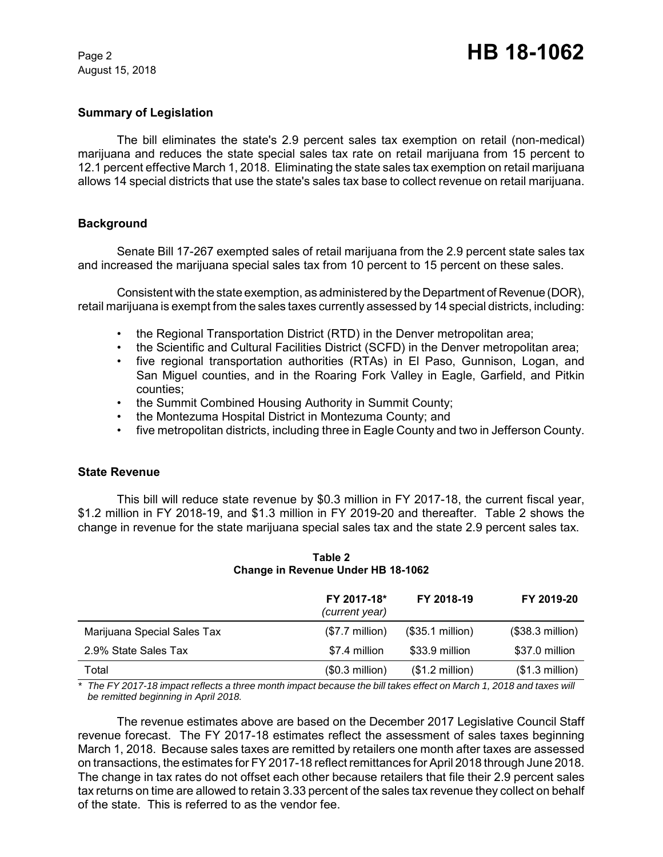### **Summary of Legislation**

The bill eliminates the state's 2.9 percent sales tax exemption on retail (non-medical) marijuana and reduces the state special sales tax rate on retail marijuana from 15 percent to 12.1 percent effective March 1, 2018. Eliminating the state sales tax exemption on retail marijuana allows 14 special districts that use the state's sales tax base to collect revenue on retail marijuana.

# **Background**

Senate Bill 17-267 exempted sales of retail marijuana from the 2.9 percent state sales tax and increased the marijuana special sales tax from 10 percent to 15 percent on these sales.

Consistent with the state exemption, as administered by the Department of Revenue (DOR), retail marijuana is exempt from the sales taxes currently assessed by 14 special districts, including:

- the Regional Transportation District (RTD) in the Denver metropolitan area;
- the Scientific and Cultural Facilities District (SCFD) in the Denver metropolitan area;
- five regional transportation authorities (RTAs) in El Paso, Gunnison, Logan, and San Miguel counties, and in the Roaring Fork Valley in Eagle, Garfield, and Pitkin counties;
- the Summit Combined Housing Authority in Summit County;
- the Montezuma Hospital District in Montezuma County; and
- five metropolitan districts, including three in Eagle County and two in Jefferson County.

### **State Revenue**

This bill will reduce state revenue by \$0.3 million in FY 2017-18, the current fiscal year, \$1.2 million in FY 2018-19, and \$1.3 million in FY 2019-20 and thereafter. Table 2 shows the change in revenue for the state marijuana special sales tax and the state 2.9 percent sales tax.

|                             | FY 2017-18*<br>(current year) | FY 2018-19       | FY 2019-20        |
|-----------------------------|-------------------------------|------------------|-------------------|
| Marijuana Special Sales Tax | $($7.7$ million)              | (\$35.1 million) | $($38.3$ million) |
| 2.9% State Sales Tax        | \$7.4 million                 | \$33.9 million   | \$37.0 million    |
| Total                       | $($0.3$ million)              | (\$1.2 million)  | $($1.3$ million)  |

**Table 2 Change in Revenue Under HB 18-1062**

*\* The FY 2017-18 impact reflects a three month impact because the bill takes effect on March 1, 2018 and taxes will be remitted beginning in April 2018.*

The revenue estimates above are based on the December 2017 Legislative Council Staff revenue forecast. The FY 2017-18 estimates reflect the assessment of sales taxes beginning March 1, 2018. Because sales taxes are remitted by retailers one month after taxes are assessed on transactions, the estimates for FY 2017-18 reflect remittances for April 2018 through June 2018. The change in tax rates do not offset each other because retailers that file their 2.9 percent sales tax returns on time are allowed to retain 3.33 percent of the sales tax revenue they collect on behalf of the state. This is referred to as the vendor fee.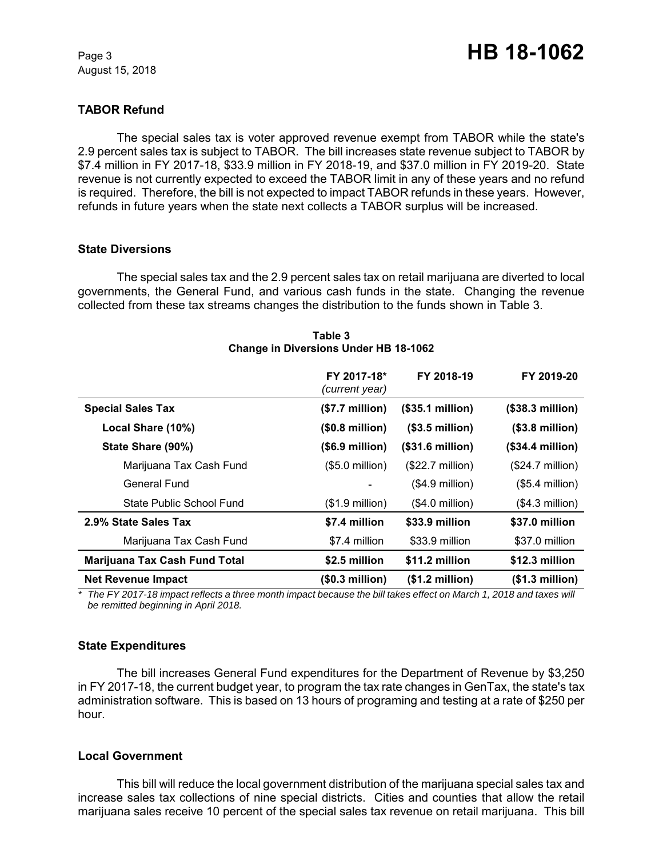# **TABOR Refund**

The special sales tax is voter approved revenue exempt from TABOR while the state's 2.9 percent sales tax is subject to TABOR. The bill increases state revenue subject to TABOR by \$7.4 million in FY 2017-18, \$33.9 million in FY 2018-19, and \$37.0 million in FY 2019-20. State revenue is not currently expected to exceed the TABOR limit in any of these years and no refund is required. Therefore, the bill is not expected to impact TABOR refunds in these years. However, refunds in future years when the state next collects a TABOR surplus will be increased.

#### **State Diversions**

The special sales tax and the 2.9 percent sales tax on retail marijuana are diverted to local governments, the General Fund, and various cash funds in the state. Changing the revenue collected from these tax streams changes the distribution to the funds shown in Table 3.

|                                      | FY 2017-18*<br>(current year) | FY 2018-19                | FY 2019-20                |
|--------------------------------------|-------------------------------|---------------------------|---------------------------|
| <b>Special Sales Tax</b>             | (\$7.7 million)               | (\$35.1 million)          | (\$38.3 million)          |
| Local Share (10%)                    | $($0.8 \text{ million})$      | $($3.5\text{ million})$   | $($3.8\text{ million})$   |
| State Share (90%)                    | $($.9 \text{ million})$       | $($31.6 \text{ million})$ | $($34.4 \text{ million})$ |
| Marijuana Tax Cash Fund              | $(S5.0 \text{ million})$      | $($22.7 \text{ million})$ | $($24.7 \text{ million})$ |
| General Fund                         |                               | $(S4.9$ million)          | $(S5.4$ million)          |
| State Public School Fund             | $($1.9$ million)              | $($4.0$ million)          | $($4.3$ million)          |
| 2.9% State Sales Tax                 | \$7.4 million                 | \$33.9 million            | \$37.0 million            |
| Marijuana Tax Cash Fund              | \$7.4 million                 | \$33.9 million            | \$37.0 million            |
| <b>Marijuana Tax Cash Fund Total</b> | \$2.5 million                 | \$11.2 million            | \$12.3 million            |
| <b>Net Revenue Impact</b>            | (\$0.3 million)               | (\$1.2 million)           | (\$1.3 million)           |

#### **Table 3 Change in Diversions Under HB 18-1062**

*\* The FY 2017-18 impact reflects a three month impact because the bill takes effect on March 1, 2018 and taxes will be remitted beginning in April 2018.*

### **State Expenditures**

The bill increases General Fund expenditures for the Department of Revenue by \$3,250 in FY 2017-18, the current budget year, to program the tax rate changes in GenTax, the state's tax administration software. This is based on 13 hours of programing and testing at a rate of \$250 per hour.

### **Local Government**

This bill will reduce the local government distribution of the marijuana special sales tax and increase sales tax collections of nine special districts. Cities and counties that allow the retail marijuana sales receive 10 percent of the special sales tax revenue on retail marijuana. This bill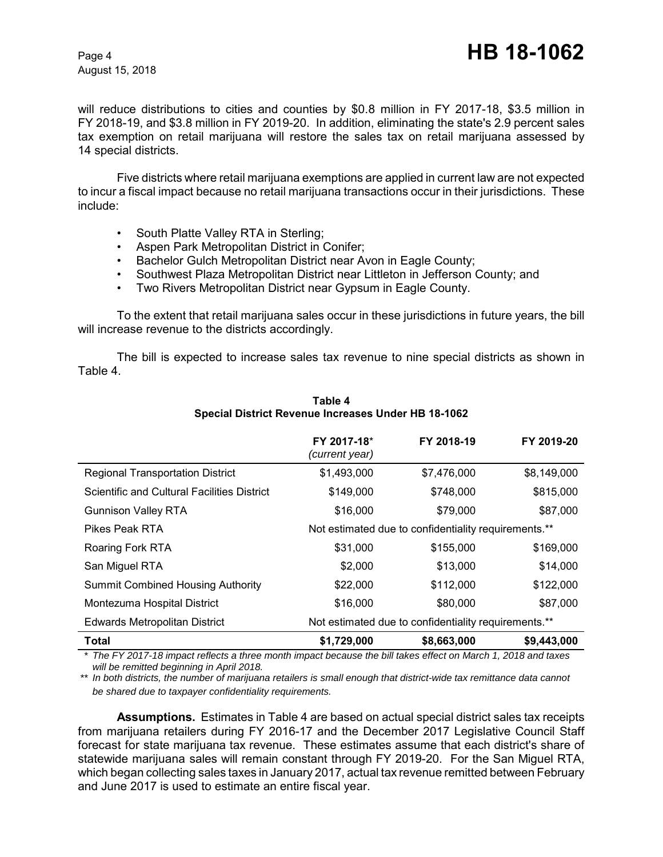will reduce distributions to cities and counties by \$0.8 million in FY 2017-18, \$3.5 million in FY 2018-19, and \$3.8 million in FY 2019-20. In addition, eliminating the state's 2.9 percent sales tax exemption on retail marijuana will restore the sales tax on retail marijuana assessed by 14 special districts.

Five districts where retail marijuana exemptions are applied in current law are not expected to incur a fiscal impact because no retail marijuana transactions occur in their jurisdictions. These include:

- South Platte Valley RTA in Sterling;
- Aspen Park Metropolitan District in Conifer;
- Bachelor Gulch Metropolitan District near Avon in Eagle County;
- Southwest Plaza Metropolitan District near Littleton in Jefferson County; and
- Two Rivers Metropolitan District near Gypsum in Eagle County.

To the extent that retail marijuana sales occur in these jurisdictions in future years, the bill will increase revenue to the districts accordingly.

The bill is expected to increase sales tax revenue to nine special districts as shown in Table 4.

|                                             | FY 2017-18*<br>(current year) | FY 2018-19                                           | FY 2019-20  |
|---------------------------------------------|-------------------------------|------------------------------------------------------|-------------|
| <b>Regional Transportation District</b>     | \$1,493,000                   | \$7,476,000                                          | \$8,149,000 |
| Scientific and Cultural Facilities District | \$149,000                     | \$748,000                                            | \$815,000   |
| <b>Gunnison Valley RTA</b>                  | \$16,000                      | \$79,000                                             | \$87,000    |
| Pikes Peak RTA                              |                               | Not estimated due to confidentiality requirements.** |             |
| Roaring Fork RTA                            | \$31,000                      | \$155,000                                            | \$169,000   |
| San Miguel RTA                              | \$2,000                       | \$13,000                                             | \$14,000    |
| <b>Summit Combined Housing Authority</b>    | \$22,000                      | \$112,000                                            | \$122,000   |
| Montezuma Hospital District                 | \$16,000                      | \$80,000                                             | \$87,000    |
| <b>Edwards Metropolitan District</b>        |                               | Not estimated due to confidentiality requirements.** |             |
| <b>Total</b>                                | \$1,729,000                   | \$8,663,000                                          | \$9,443,000 |

#### **Table 4 Special District Revenue Increases Under HB 18-1062**

*\* The FY 2017-18 impact reflects a three month impact because the bill takes effect on March 1, 2018 and taxes will be remitted beginning in April 2018.*

*\*\* In both districts, the number of marijuana retailers is small enough that district-wide tax remittance data cannot be shared due to taxpayer confidentiality requirements.*

**Assumptions.** Estimates in Table 4 are based on actual special district sales tax receipts from marijuana retailers during FY 2016-17 and the December 2017 Legislative Council Staff forecast for state marijuana tax revenue. These estimates assume that each district's share of statewide marijuana sales will remain constant through FY 2019-20. For the San Miguel RTA, which began collecting sales taxes in January 2017, actual tax revenue remitted between February and June 2017 is used to estimate an entire fiscal year.